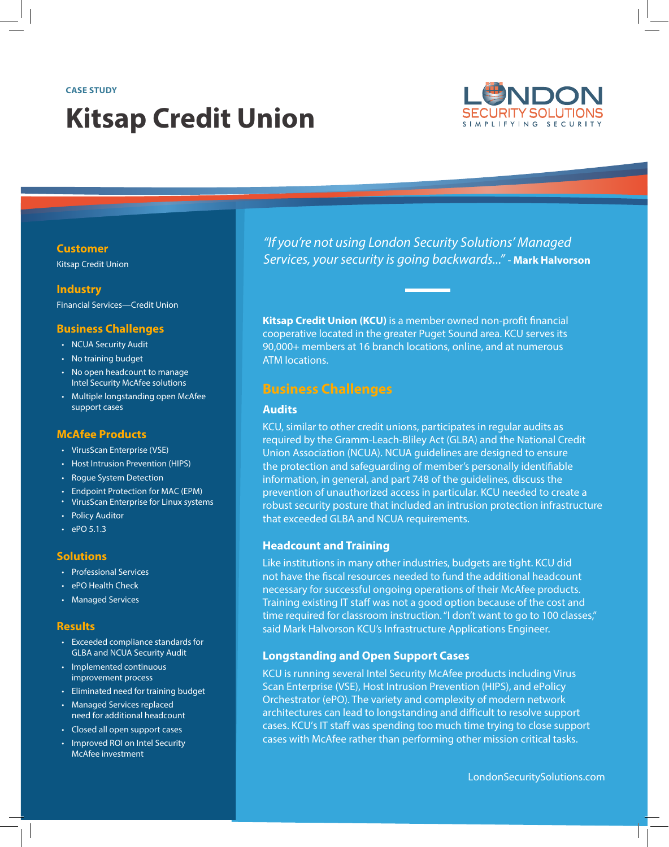#### **CASE STUDY**

# **Kitsap Credit Union**



#### **Customer**

Kitsap Credit Union

## **Industry**

Financial Services—Credit Union

#### **Business Challenges**

- NCUA Security Audit
- No training budget
- No open headcount to manage Intel Security McAfee solutions
- Multiple longstanding open McAfee support cases

#### **McAfee Products**

- VirusScan Enterprise (VSE)
- Host Intrusion Prevention (HIPS)
- Rogue System Detection
- Endpoint Protection for MAC (EPM)
- VirusScan Enterprise for Linux systems
- Policy Auditor
- $\cdot$  ePO 5.1.3

#### **Solutions**

- Professional Services
- ePO Health Check
- Managed Services

#### **Results**

- Exceeded compliance standards for GLBA and NCUA Security Audit
- Implemented continuous improvement process
- Eliminated need for training budget
- Managed Services replaced need for additional headcount
- Closed all open support cases
- Improved ROI on Intel Security McAfee investment

*"If you're not using London Security Solutions' Managed Services, your security is going backwards..."* - **Mark Halvorson**

**Kitsap Credit Union (KCU)** is a member owned non-profit financial cooperative located in the greater Puget Sound area. KCU serves its 90,000+ members at 16 branch locations, online, and at numerous ATM locations.

## **Business Challenges**

#### **Audits**

KCU, similar to other credit unions, participates in regular audits as required by the Gramm-Leach-Bliley Act (GLBA) and the National Credit Union Association (NCUA). NCUA guidelines are designed to ensure the protection and safeguarding of member's personally identifiable information, in general, and part 748 of the guidelines, discuss the prevention of unauthorized access in particular. KCU needed to create a robust security posture that included an intrusion protection infrastructure that exceeded GLBA and NCUA requirements.

#### **Headcount and Training**

Like institutions in many other industries, budgets are tight. KCU did not have the fiscal resources needed to fund the additional headcount necessary for successful ongoing operations of their McAfee products. Training existing IT staff was not a good option because of the cost and time required for classroom instruction. "I don't want to go to 100 classes," said Mark Halvorson KCU's Infrastructure Applications Engineer.

#### **Longstanding and Open Support Cases**

KCU is running several Intel Security McAfee products including Virus Scan Enterprise (VSE), Host Intrusion Prevention (HIPS), and ePolicy Orchestrator (ePO). The variety and complexity of modern network architectures can lead to longstanding and difficult to resolve support cases. KCU's IT staff was spending too much time trying to close support cases with McAfee rather than performing other mission critical tasks.